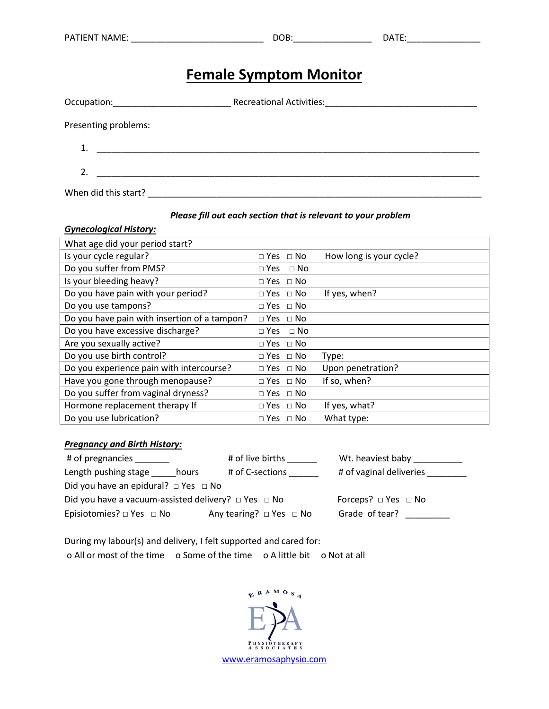# **Female Symptom Monitor**

| Occupation: _____________________                                                                                                                                                                                             | Recreational Activities: Manual Activities: Manual Activities: |
|-------------------------------------------------------------------------------------------------------------------------------------------------------------------------------------------------------------------------------|----------------------------------------------------------------|
| Presenting problems:                                                                                                                                                                                                          |                                                                |
|                                                                                                                                                                                                                               |                                                                |
| the control of the control of the control of the control of the control of the control of the control of the control of the control of the control of the control of the control of the control of the control of the control |                                                                |
| When did this start?                                                                                                                                                                                                          |                                                                |

#### *Please fill out each section that is relevant to your problem*

#### *Gynecological History:*

| What age did your period start?              |                      |                         |
|----------------------------------------------|----------------------|-------------------------|
| Is your cycle regular?                       | $\Box$ Yes $\Box$ No | How long is your cycle? |
| Do you suffer from PMS?                      | $\Box$ Yes $\Box$ No |                         |
| Is your bleeding heavy?                      | $\Box$ Yes $\Box$ No |                         |
| Do you have pain with your period?           | $\Box$ Yes $\Box$ No | If yes, when?           |
| Do you use tampons?                          | $\Box$ Yes $\Box$ No |                         |
| Do you have pain with insertion of a tampon? | $\Box$ Yes $\Box$ No |                         |
| Do you have excessive discharge?             | $\Box$ Yes $\Box$ No |                         |
| Are you sexually active?                     | $\Box$ Yes $\Box$ No |                         |
| Do you use birth control?                    | $\Box$ Yes $\Box$ No | Type:                   |
| Do you experience pain with intercourse?     | $\Box$ Yes $\Box$ No | Upon penetration?       |
| Have you gone through menopause?             | $\Box$ Yes $\Box$ No | If so, when?            |
| Do you suffer from vaginal dryness?          | $\Box$ Yes $\Box$ No |                         |
| Hormone replacement therapy If               | $\Box$ Yes $\Box$ No | If yes, what?           |
| Do you use lubrication?                      | $\Box$ Yes $\Box$ No | What type:              |

#### *Pregnancy and Birth History:*

| # of live births<br># of pregnancies                          |       | Wt. heaviest baby                       |                               |  |  |
|---------------------------------------------------------------|-------|-----------------------------------------|-------------------------------|--|--|
| Length pushing stage                                          | hours | # of C-sections                         | # of vaginal deliveries       |  |  |
| Did you have an epidural? $\Box$ Yes $\Box$ No                |       |                                         |                               |  |  |
| Did you have a vacuum-assisted delivery? $\Box$ Yes $\Box$ No |       |                                         | Forceps? $\Box$ Yes $\Box$ No |  |  |
| Episiotomies? $\square$ Yes $\square$ No                      |       | Any tearing? $\square$ Yes $\square$ No | Grade of tear?                |  |  |

During my labour(s) and delivery, I felt supported and cared for: o All or most of the time o Some of the time o A little bit o Not at all

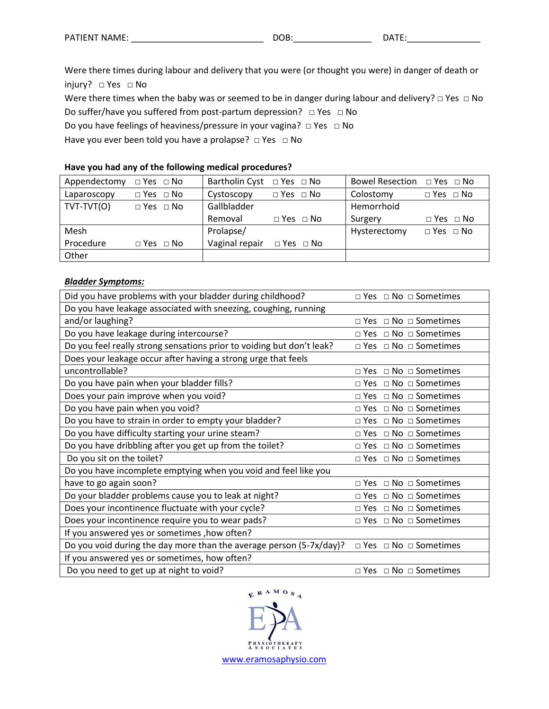| <b>NAMF</b><br><b>PATIENT</b> | м | .<br>$\mathbf{v}$ |
|-------------------------------|---|-------------------|
|                               |   |                   |

Were there times during labour and delivery that you were (or thought you were) in danger of death or injury? □ Yes □ No

Were there times when the baby was or seemed to be in danger during labour and delivery? □ Yes □ No

Do suffer/have you suffered from post-partum depression? □ Yes □ No

Do you have feelings of heaviness/pressure in your vagina? □ Yes □ No

Have you ever been told you have a prolapse? □ Yes □ No

#### **Have you had any of the following medical procedures?**

| Appendectomy | $\Box$ Yes $\Box$ No | Bartholin Cyst $\Box$ Yes $\Box$ No |                      | Bowel Resection $\Box$ Yes $\Box$ No |                      |
|--------------|----------------------|-------------------------------------|----------------------|--------------------------------------|----------------------|
| Laparoscopy  | $\Box$ Yes $\Box$ No | Cystoscopy                          | $\Box$ Yes $\Box$ No | Colostomy                            | $\Box$ Yes $\Box$ No |
| TVT-TVT(O)   | $\Box$ Yes $\Box$ No | Gallbladder                         |                      | Hemorrhoid                           |                      |
|              |                      | Removal                             | $\Box$ Yes $\Box$ No | Surgery                              | $\Box$ Yes $\Box$ No |
| Mesh         |                      | Prolapse/                           |                      | Hysterectomy                         | $\Box$ Yes $\Box$ No |
| Procedure    | $\Box$ Yes $\Box$ No | Vaginal repair                      | $\Box$ Yes $\Box$ No |                                      |                      |
| Other        |                      |                                     |                      |                                      |                      |

#### *Bladder Symptoms:*

| Did you have problems with your bladder during childhood?             | $\Box$ Yes $\Box$ No $\Box$ Sometimes |
|-----------------------------------------------------------------------|---------------------------------------|
| Do you have leakage associated with sneezing, coughing, running       |                                       |
| and/or laughing?                                                      | $\Box$ Yes $\Box$ No $\Box$ Sometimes |
| Do you have leakage during intercourse?                               | $\Box$ Yes $\Box$ No $\Box$ Sometimes |
| Do you feel really strong sensations prior to voiding but don't leak? | $\Box$ Yes $\Box$ No $\Box$ Sometimes |
| Does your leakage occur after having a strong urge that feels         |                                       |
| uncontrollable?                                                       | □ Yes □ No □ Sometimes                |
| Do you have pain when your bladder fills?                             | □ Yes □ No □ Sometimes                |
| Does your pain improve when you void?                                 | $\Box$ Yes $\Box$ No $\Box$ Sometimes |
| Do you have pain when you void?                                       | $\Box$ Yes $\Box$ No $\Box$ Sometimes |
| Do you have to strain in order to empty your bladder?                 | $\Box$ Yes $\Box$ No $\Box$ Sometimes |
| Do you have difficulty starting your urine steam?                     | $\Box$ Yes $\Box$ No $\Box$ Sometimes |
| Do you have dribbling after you get up from the toilet?               | $\Box$ Yes $\Box$ No $\Box$ Sometimes |
| Do you sit on the toilet?                                             | $\Box$ Yes $\Box$ No $\Box$ Sometimes |
| Do you have incomplete emptying when you void and feel like you       |                                       |
| have to go again soon?                                                | $\Box$ Yes $\Box$ No $\Box$ Sometimes |
| Do your bladder problems cause you to leak at night?                  | $\Box$ Yes $\Box$ No $\Box$ Sometimes |
| Does your incontinence fluctuate with your cycle?                     | □ Yes □ No □ Sometimes                |
| Does your incontinence require you to wear pads?                      | $\Box$ Yes $\Box$ No $\Box$ Sometimes |
| If you answered yes or sometimes , how often?                         |                                       |
| Do you void during the day more than the average person (5-7x/day)?   | $\Box$ Yes $\Box$ No $\Box$ Sometimes |
| If you answered yes or sometimes, how often?                          |                                       |
| Do you need to get up at night to void?                               | $\Box$ Yes $\Box$ No $\Box$ Sometimes |

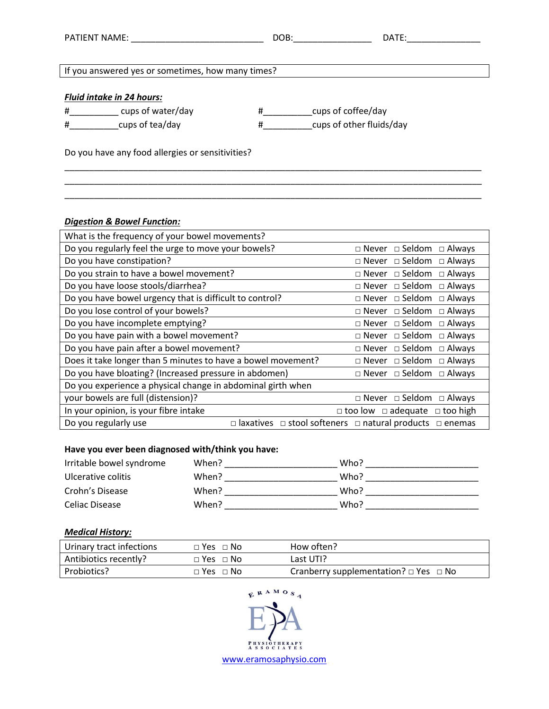| PATIENT NAME:                                     | DOB:                          | DATE: |
|---------------------------------------------------|-------------------------------|-------|
|                                                   |                               |       |
| If you answered yes or sometimes, how many times? |                               |       |
|                                                   |                               |       |
| <b>Fluid intake in 24 hours:</b>                  |                               |       |
| cups of water/day<br>#                            | cups of coffee/day<br>#       |       |
| cups of tea/day<br>#                              | cups of other fluids/day<br># |       |
|                                                   |                               |       |
| Do you have any food allergies or sensitivities?  |                               |       |

\_\_\_\_\_\_\_\_\_\_\_\_\_\_\_\_\_\_\_\_\_\_\_\_\_\_\_\_\_\_\_\_\_\_\_\_\_\_\_\_\_\_\_\_\_\_\_\_\_\_\_\_\_\_\_\_\_\_\_\_\_\_\_\_\_\_\_\_\_\_\_\_\_\_\_\_\_\_\_\_\_\_\_\_\_ \_\_\_\_\_\_\_\_\_\_\_\_\_\_\_\_\_\_\_\_\_\_\_\_\_\_\_\_\_\_\_\_\_\_\_\_\_\_\_\_\_\_\_\_\_\_\_\_\_\_\_\_\_\_\_\_\_\_\_\_\_\_\_\_\_\_\_\_\_\_\_\_\_\_\_\_\_\_\_\_\_\_\_\_\_ \_\_\_\_\_\_\_\_\_\_\_\_\_\_\_\_\_\_\_\_\_\_\_\_\_\_\_\_\_\_\_\_\_\_\_\_\_\_\_\_\_\_\_\_\_\_\_\_\_\_\_\_\_\_\_\_\_\_\_\_\_\_\_\_\_\_\_\_\_\_\_\_\_\_\_\_\_\_\_\_\_\_\_\_\_

#### *Digestion & Bowel Function:*

| What is the frequency of your bowel movements?               |                                                                    |
|--------------------------------------------------------------|--------------------------------------------------------------------|
| Do you regularly feel the urge to move your bowels?          | $\Box$ Never $\Box$ Seldom $\Box$ Always                           |
| Do you have constipation?                                    | $\Box$ Never $\Box$ Seldom $\Box$ Always                           |
| Do you strain to have a bowel movement?                      | $\Box$ Never $\Box$ Seldom<br>$\Box$ Always                        |
| Do you have loose stools/diarrhea?                           | $\Box$ Never $\Box$ Seldom $\Box$ Always                           |
| Do you have bowel urgency that is difficult to control?      | $\Box$ Never $\Box$ Seldom<br>$\Box$ Always                        |
| Do you lose control of your bowels?                          | $\square$ Never $\square$ Seldom<br>$\Box$ Always                  |
| Do you have incomplete emptying?                             | $\Box$ Never $\Box$ Seldom<br>$\Box$ Always                        |
| Do you have pain with a bowel movement?                      | $\Box$ Never $\Box$ Seldom<br>$\Box$ Always                        |
| Do you have pain after a bowel movement?                     | □ Never □ Seldom<br>$\Box$ Always                                  |
| Does it take longer than 5 minutes to have a bowel movement? | $\Box$ Never $\Box$ Seldom<br>$\Box$ Always                        |
| Do you have bloating? (Increased pressure in abdomen)        | $\Box$ Never $\Box$ Seldom $\Box$ Always                           |
| Do you experience a physical change in abdominal girth when  |                                                                    |
| your bowels are full (distension)?                           | $\square$ Never $\square$ Seldom $\square$ Always                  |
| In your opinion, is your fibre intake                        | $\Box$ too low $\Box$ adequate $\Box$ too high                     |
| Do you regularly use<br>$\square$ laxatives                  | $\Box$ stool softeners $\Box$ natural products<br>$\square$ enemas |

## **Have you ever been diagnosed with/think you have:**

| Irritable bowel syndrome | When? | Who? |
|--------------------------|-------|------|
| Ulcerative colitis       | When? | Who? |
| Crohn's Disease          | When? | Who? |
| Celiac Disease           | When? | Who? |

### *Medical History:*

| Urinary tract infections | $\Box$ Yes $\Box$ No | How often?                                      |
|--------------------------|----------------------|-------------------------------------------------|
| Antibiotics recently?    | $\Box$ Yes $\Box$ No | Last UTI?                                       |
| Probiotics?              | $\Box$ Yes $\Box$ No | Cranberry supplementation? $\Box$ Yes $\Box$ No |

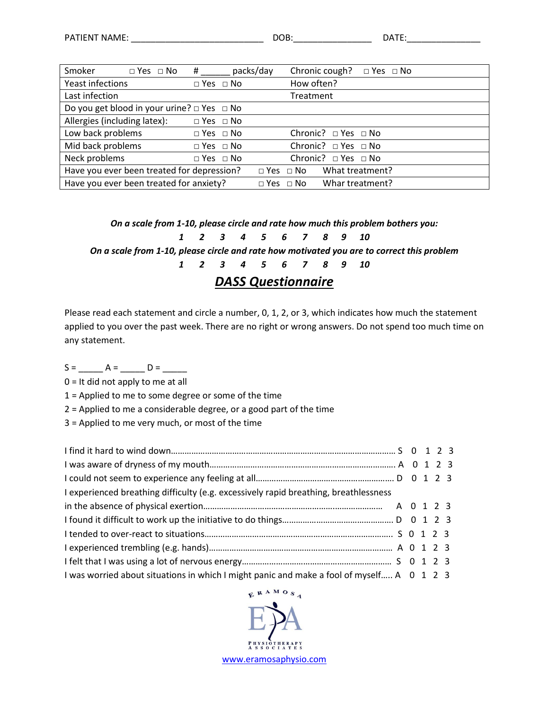| Smoker                                               | $\Box$ Yes $\Box$ No | #                    | packs/day |                      | Chronic cough?                | $\Box$ Yes $\Box$ No |  |
|------------------------------------------------------|----------------------|----------------------|-----------|----------------------|-------------------------------|----------------------|--|
| Yeast infections                                     |                      | $\Box$ Yes $\Box$ No |           |                      | How often?                    |                      |  |
| Last infection                                       |                      |                      |           | Treatment            |                               |                      |  |
| Do you get blood in your urine? $\Box$ Yes $\Box$ No |                      |                      |           |                      |                               |                      |  |
| Allergies (including latex):                         |                      | $\Box$ Yes $\Box$ No |           |                      |                               |                      |  |
| Low back problems                                    |                      | $\Box$ Yes $\Box$ No |           |                      | Chronic? $\Box$ Yes $\Box$ No |                      |  |
| Mid back problems                                    |                      | $\Box$ Yes $\Box$ No |           |                      | Chronic? $\Box$ Yes $\Box$ No |                      |  |
| Neck problems                                        |                      | $\Box$ Yes $\Box$ No |           |                      | Chronic? □ Yes □ No           |                      |  |
| Have you ever been treated for depression?           |                      |                      |           | $\Box$ Yes $\Box$ No | What treatment?               |                      |  |
| Have you ever been treated for anxiety?              |                      |                      |           | $\Box$ Yes $\Box$ No | Whar treatment?               |                      |  |

*On a scale from 1-10, please circle and rate how much this problem bothers you:*

*1 2 3 4 5 6 7 8 9 10*

*On a scale from 1-10, please circle and rate how motivated you are to correct this problem*

*1 2 3 4 5 6 7 8 9 10*

## *DASS Questionnaire*

Please read each statement and circle a number, 0, 1, 2, or 3, which indicates how much the statement applied to you over the past week. There are no right or wrong answers. Do not spend too much time on any statement.

S = \_\_\_\_\_ A = \_\_\_\_\_ D = \_\_\_\_\_

0 = It did not apply to me at all

1 = Applied to me to some degree or some of the time

2 = Applied to me a considerable degree, or a good part of the time

3 = Applied to me very much, or most of the time

| I experienced breathing difficulty (e.g. excessively rapid breathing, breathlessness      |  |  |
|-------------------------------------------------------------------------------------------|--|--|
|                                                                                           |  |  |
|                                                                                           |  |  |
|                                                                                           |  |  |
|                                                                                           |  |  |
|                                                                                           |  |  |
| I was worried about situations in which I might panic and make a fool of myself A 0 1 2 3 |  |  |